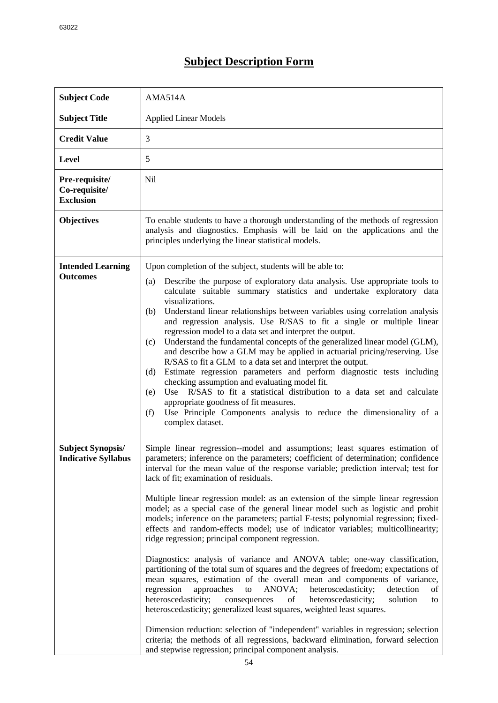## **Subject Description Form**

| <b>Subject Code</b>                                    | AMA514A                                                                                                                                                                                                                                                                                                                                                                                                                                                                                                                                                                                                                                                                                                                                                                                                                                                                                                                                                                                                                                                                                                                                                                                                                                                                                                                                                                                                                                                  |  |  |  |
|--------------------------------------------------------|----------------------------------------------------------------------------------------------------------------------------------------------------------------------------------------------------------------------------------------------------------------------------------------------------------------------------------------------------------------------------------------------------------------------------------------------------------------------------------------------------------------------------------------------------------------------------------------------------------------------------------------------------------------------------------------------------------------------------------------------------------------------------------------------------------------------------------------------------------------------------------------------------------------------------------------------------------------------------------------------------------------------------------------------------------------------------------------------------------------------------------------------------------------------------------------------------------------------------------------------------------------------------------------------------------------------------------------------------------------------------------------------------------------------------------------------------------|--|--|--|
| <b>Subject Title</b>                                   | <b>Applied Linear Models</b>                                                                                                                                                                                                                                                                                                                                                                                                                                                                                                                                                                                                                                                                                                                                                                                                                                                                                                                                                                                                                                                                                                                                                                                                                                                                                                                                                                                                                             |  |  |  |
| <b>Credit Value</b>                                    | 3                                                                                                                                                                                                                                                                                                                                                                                                                                                                                                                                                                                                                                                                                                                                                                                                                                                                                                                                                                                                                                                                                                                                                                                                                                                                                                                                                                                                                                                        |  |  |  |
| <b>Level</b>                                           | 5                                                                                                                                                                                                                                                                                                                                                                                                                                                                                                                                                                                                                                                                                                                                                                                                                                                                                                                                                                                                                                                                                                                                                                                                                                                                                                                                                                                                                                                        |  |  |  |
| Pre-requisite/<br>Co-requisite/<br><b>Exclusion</b>    | <b>Nil</b>                                                                                                                                                                                                                                                                                                                                                                                                                                                                                                                                                                                                                                                                                                                                                                                                                                                                                                                                                                                                                                                                                                                                                                                                                                                                                                                                                                                                                                               |  |  |  |
| <b>Objectives</b>                                      | To enable students to have a thorough understanding of the methods of regression<br>analysis and diagnostics. Emphasis will be laid on the applications and the<br>principles underlying the linear statistical models.                                                                                                                                                                                                                                                                                                                                                                                                                                                                                                                                                                                                                                                                                                                                                                                                                                                                                                                                                                                                                                                                                                                                                                                                                                  |  |  |  |
| <b>Intended Learning</b><br><b>Outcomes</b>            | Upon completion of the subject, students will be able to:<br>Describe the purpose of exploratory data analysis. Use appropriate tools to<br>(a)<br>calculate suitable summary statistics and undertake exploratory data<br>visualizations.<br>Understand linear relationships between variables using correlation analysis<br>(b)<br>and regression analysis. Use R/SAS to fit a single or multiple linear<br>regression model to a data set and interpret the output.<br>Understand the fundamental concepts of the generalized linear model (GLM),<br>(c)<br>and describe how a GLM may be applied in actuarial pricing/reserving. Use<br>R/SAS to fit a GLM to a data set and interpret the output.<br>Estimate regression parameters and perform diagnostic tests including<br>(d)<br>checking assumption and evaluating model fit.<br>Use R/SAS to fit a statistical distribution to a data set and calculate<br>(e)<br>appropriate goodness of fit measures.<br>Use Principle Components analysis to reduce the dimensionality of a<br>(f)<br>complex dataset.                                                                                                                                                                                                                                                                                                                                                                                     |  |  |  |
| <b>Subject Synopsis/</b><br><b>Indicative Syllabus</b> | Simple linear regression--model and assumptions; least squares estimation of<br>parameters; inference on the parameters; coefficient of determination; confidence<br>interval for the mean value of the response variable; prediction interval; test for<br>lack of fit; examination of residuals.<br>Multiple linear regression model: as an extension of the simple linear regression<br>model; as a special case of the general linear model such as logistic and probit<br>models; inference on the parameters; partial F-tests; polynomial regression; fixed-<br>effects and random-effects model; use of indicator variables; multicollinearity;<br>ridge regression; principal component regression.<br>Diagnostics: analysis of variance and ANOVA table; one-way classification,<br>partitioning of the total sum of squares and the degrees of freedom; expectations of<br>mean squares, estimation of the overall mean and components of variance,<br>regression<br>approaches<br>ANOVA;<br>heteroscedasticity;<br>detection<br>to<br>οf<br>heteroscedasticity;<br>consequences<br>solution<br>of<br>heteroscedasticity;<br>to<br>heteroscedasticity; generalized least squares, weighted least squares.<br>Dimension reduction: selection of "independent" variables in regression; selection<br>criteria; the methods of all regressions, backward elimination, forward selection<br>and stepwise regression; principal component analysis. |  |  |  |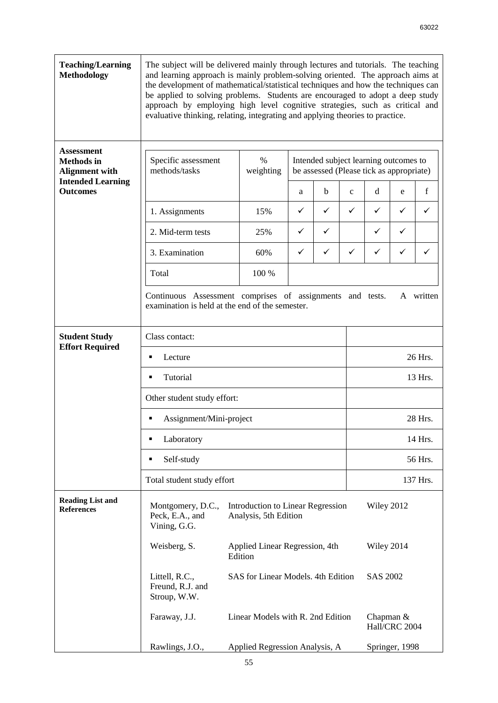| <b>Teaching/Learning</b><br><b>Methodology</b>                                                                 | The subject will be delivered mainly through lectures and tutorials. The teaching<br>and learning approach is mainly problem-solving oriented. The approach aims at<br>the development of mathematical/statistical techniques and how the techniques can<br>be applied to solving problems. Students are encouraged to adopt a deep study<br>approach by employing high level cognitive strategies, such as critical and<br>evaluative thinking, relating, integrating and applying theories to practice. |                                                                 |                                                                                   |   |              |                |   |   |  |
|----------------------------------------------------------------------------------------------------------------|-----------------------------------------------------------------------------------------------------------------------------------------------------------------------------------------------------------------------------------------------------------------------------------------------------------------------------------------------------------------------------------------------------------------------------------------------------------------------------------------------------------|-----------------------------------------------------------------|-----------------------------------------------------------------------------------|---|--------------|----------------|---|---|--|
| <b>Assessment</b><br><b>Methods</b> in<br><b>Alignment with</b><br><b>Intended Learning</b><br><b>Outcomes</b> | Specific assessment<br>methods/tasks                                                                                                                                                                                                                                                                                                                                                                                                                                                                      | $\%$<br>weighting                                               | Intended subject learning outcomes to<br>be assessed (Please tick as appropriate) |   |              |                |   |   |  |
|                                                                                                                |                                                                                                                                                                                                                                                                                                                                                                                                                                                                                                           |                                                                 | a                                                                                 | b | $\mathbf{C}$ | d              | e | f |  |
|                                                                                                                | 1. Assignments                                                                                                                                                                                                                                                                                                                                                                                                                                                                                            | 15%                                                             | ✓                                                                                 | ✓ | ✓            | ✓              | ✓ | ✓ |  |
|                                                                                                                | 2. Mid-term tests                                                                                                                                                                                                                                                                                                                                                                                                                                                                                         | 25%                                                             | ✓                                                                                 | ✓ |              | ✓              | ✓ |   |  |
|                                                                                                                | 3. Examination                                                                                                                                                                                                                                                                                                                                                                                                                                                                                            | 60%                                                             | ✓                                                                                 | ✓ | ✓            | ✓              | ✓ | ✓ |  |
|                                                                                                                | Total                                                                                                                                                                                                                                                                                                                                                                                                                                                                                                     | 100 %                                                           |                                                                                   |   |              |                |   |   |  |
|                                                                                                                | Continuous Assessment comprises of assignments and tests.<br>A written<br>examination is held at the end of the semester.                                                                                                                                                                                                                                                                                                                                                                                 |                                                                 |                                                                                   |   |              |                |   |   |  |
| <b>Student Study</b><br><b>Effort Required</b>                                                                 | Class contact:                                                                                                                                                                                                                                                                                                                                                                                                                                                                                            |                                                                 |                                                                                   |   |              |                |   |   |  |
|                                                                                                                | Lecture<br>٠                                                                                                                                                                                                                                                                                                                                                                                                                                                                                              |                                                                 |                                                                                   |   |              | 26 Hrs.        |   |   |  |
|                                                                                                                | Tutorial<br>13 Hrs.<br>٠                                                                                                                                                                                                                                                                                                                                                                                                                                                                                  |                                                                 |                                                                                   |   |              |                |   |   |  |
|                                                                                                                | Other student study effort:                                                                                                                                                                                                                                                                                                                                                                                                                                                                               |                                                                 |                                                                                   |   |              |                |   |   |  |
|                                                                                                                | 28 Hrs.<br>Assignment/Mini-project<br>٠                                                                                                                                                                                                                                                                                                                                                                                                                                                                   |                                                                 |                                                                                   |   |              |                |   |   |  |
|                                                                                                                | 14 Hrs.<br>Laboratory<br>п<br>Self-study<br>56 Hrs.<br>٠                                                                                                                                                                                                                                                                                                                                                                                                                                                  |                                                                 |                                                                                   |   |              |                |   |   |  |
|                                                                                                                |                                                                                                                                                                                                                                                                                                                                                                                                                                                                                                           |                                                                 |                                                                                   |   |              |                |   |   |  |
|                                                                                                                | Total student study effort<br>137 Hrs.                                                                                                                                                                                                                                                                                                                                                                                                                                                                    |                                                                 |                                                                                   |   |              |                |   |   |  |
| <b>Reading List and</b><br><b>References</b>                                                                   | Montgomery, D.C.,<br>Introduction to Linear Regression<br>Wiley 2012<br>Peck, E.A., and<br>Analysis, 5th Edition<br>Vining, G.G.                                                                                                                                                                                                                                                                                                                                                                          |                                                                 |                                                                                   |   |              |                |   |   |  |
|                                                                                                                | Weisberg, S.                                                                                                                                                                                                                                                                                                                                                                                                                                                                                              | Applied Linear Regression, 4th<br>Wiley 2014<br>Edition         |                                                                                   |   |              |                |   |   |  |
|                                                                                                                | Littell, R.C.,<br>Freund, R.J. and<br>Stroup, W.W.                                                                                                                                                                                                                                                                                                                                                                                                                                                        | SAS for Linear Models. 4th Edition<br>SAS 2002                  |                                                                                   |   |              |                |   |   |  |
|                                                                                                                | Faraway, J.J.                                                                                                                                                                                                                                                                                                                                                                                                                                                                                             | Linear Models with R. 2nd Edition<br>Chapman &<br>Hall/CRC 2004 |                                                                                   |   |              |                |   |   |  |
|                                                                                                                | Rawlings, J.O.,                                                                                                                                                                                                                                                                                                                                                                                                                                                                                           | Applied Regression Analysis, A                                  |                                                                                   |   |              | Springer, 1998 |   |   |  |